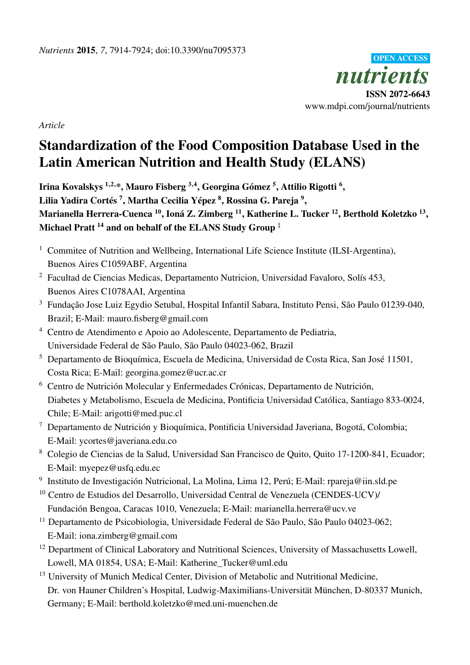

*Article*

# Standardization of the Food Composition Database Used in the Latin American Nutrition and Health Study (ELANS)

Irina Kovalskys <sup>1,2,</sup>\*, Mauro Fisberg <sup>3,4</sup>, Georgina Gómez <sup>5</sup>, Attilio Rigotti <sup>6</sup>,

Lilia Yadira Cortés <sup>7</sup>, Martha Cecilia Yépez <sup>8</sup>, Rossina G. Pareja <sup>9</sup>,

Marianella Herrera-Cuenca <sup>10</sup>, Ioná Z. Zimberg <sup>11</sup>, Katherine L. Tucker <sup>12</sup>, Berthold Koletzko <sup>13</sup>, Michael Pratt<sup>14</sup> and on behalf of the ELANS Study Group<sup> $\ddagger$ </sup>

- <sup>1</sup> Commitee of Nutrition and Wellbeing, International Life Science Institute (ILSI-Argentina), Buenos Aires C1059ABF, Argentina
- $2\degree$  Facultad de Ciencias Medicas, Departamento Nutricion, Universidad Favaloro, Solís 453, Buenos Aires C1078AAI, Argentina
- <sup>3</sup> Fundação Jose Luiz Egydio Setubal, Hospital Infantil Sabara, Instituto Pensi, São Paulo 01239-040, Brazil; E-Mail: mauro.fisberg@gmail.com
- <sup>4</sup> Centro de Atendimento e Apoio ao Adolescente, Departamento de Pediatria, Universidade Federal de São Paulo, São Paulo 04023-062, Brazil
- <sup>5</sup> Departamento de Bioquímica, Escuela de Medicina, Universidad de Costa Rica, San José 11501, Costa Rica; E-Mail: georgina.gomez@ucr.ac.cr
- <sup>6</sup> Centro de Nutrición Molecular y Enfermedades Crónicas, Departamento de Nutrición, Diabetes y Metabolismo, Escuela de Medicina, Pontificia Universidad Católica, Santiago 833-0024, Chile; E-Mail: arigotti@med.puc.cl
- <sup>7</sup> Departamento de Nutrición y Bioquímica, Pontificia Universidad Javeriana, Bogotá, Colombia; E-Mail: ycortes@javeriana.edu.co
- <sup>8</sup> Colegio de Ciencias de la Salud, Universidad San Francisco de Quito, Quito 17-1200-841, Ecuador; E-Mail: myepez@usfq.edu.ec
- <sup>9</sup> Instituto de Investigación Nutricional, La Molina, Lima 12, Perú; E-Mail: rpareja@iin.sld.pe
- <sup>10</sup> Centro de Estudios del Desarrollo, Universidad Central de Venezuela (CENDES-UCV)/ Fundación Bengoa, Caracas 1010, Venezuela; E-Mail: marianella.herrera@ucv.ve
- <sup>11</sup> Departamento de Psicobiologia, Universidade Federal de São Paulo, São Paulo 04023-062; E-Mail: iona.zimberg@gmail.com
- <sup>12</sup> Department of Clinical Laboratory and Nutritional Sciences, University of Massachusetts Lowell, Lowell, MA 01854, USA; E-Mail: Katherine\_Tucker@uml.edu
- <sup>13</sup> University of Munich Medical Center, Division of Metabolic and Nutritional Medicine, Dr. von Hauner Children's Hospital, Ludwig-Maximilians-Universität München, D-80337 Munich, Germany; E-Mail: berthold.koletzko@med.uni-muenchen.de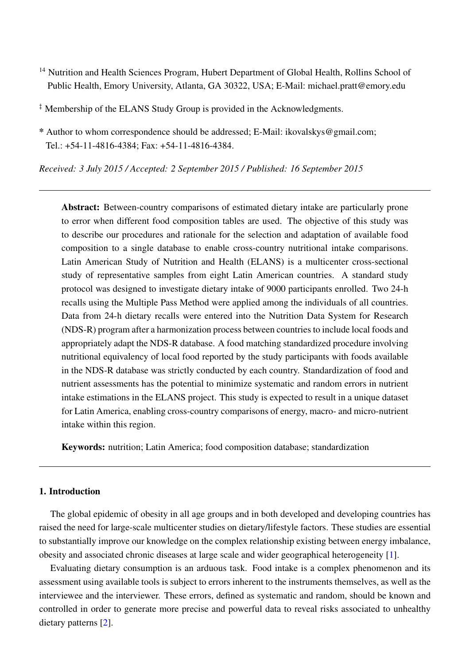<sup>14</sup> Nutrition and Health Sciences Program, Hubert Department of Global Health, Rollins School of Public Health, Emory University, Atlanta, GA 30322, USA; E-Mail: michael.pratt@emory.edu

<sup>‡</sup> Membership of the ELANS Study Group is provided in the Acknowledgments.

\* Author to whom correspondence should be addressed; E-Mail: ikovalskys@gmail.com; Tel.: +54-11-4816-4384; Fax: +54-11-4816-4384.

*Received: 3 July 2015 / Accepted: 2 September 2015 / Published: 16 September 2015*

Abstract: Between-country comparisons of estimated dietary intake are particularly prone to error when different food composition tables are used. The objective of this study was to describe our procedures and rationale for the selection and adaptation of available food composition to a single database to enable cross-country nutritional intake comparisons. Latin American Study of Nutrition and Health (ELANS) is a multicenter cross-sectional study of representative samples from eight Latin American countries. A standard study protocol was designed to investigate dietary intake of 9000 participants enrolled. Two 24-h recalls using the Multiple Pass Method were applied among the individuals of all countries. Data from 24-h dietary recalls were entered into the Nutrition Data System for Research (NDS-R) program after a harmonization process between countries to include local foods and appropriately adapt the NDS-R database. A food matching standardized procedure involving nutritional equivalency of local food reported by the study participants with foods available in the NDS-R database was strictly conducted by each country. Standardization of food and nutrient assessments has the potential to minimize systematic and random errors in nutrient intake estimations in the ELANS project. This study is expected to result in a unique dataset for Latin America, enabling cross-country comparisons of energy, macro- and micro-nutrient intake within this region.

Keywords: nutrition; Latin America; food composition database; standardization

## 1. Introduction

The global epidemic of obesity in all age groups and in both developed and developing countries has raised the need for large-scale multicenter studies on dietary/lifestyle factors. These studies are essential to substantially improve our knowledge on the complex relationship existing between energy imbalance, obesity and associated chronic diseases at large scale and wider geographical heterogeneity [\[1\]](#page-8-0).

Evaluating dietary consumption is an arduous task. Food intake is a complex phenomenon and its assessment using available tools is subject to errors inherent to the instruments themselves, as well as the interviewee and the interviewer. These errors, defined as systematic and random, should be known and controlled in order to generate more precise and powerful data to reveal risks associated to unhealthy dietary patterns [\[2\]](#page-8-1).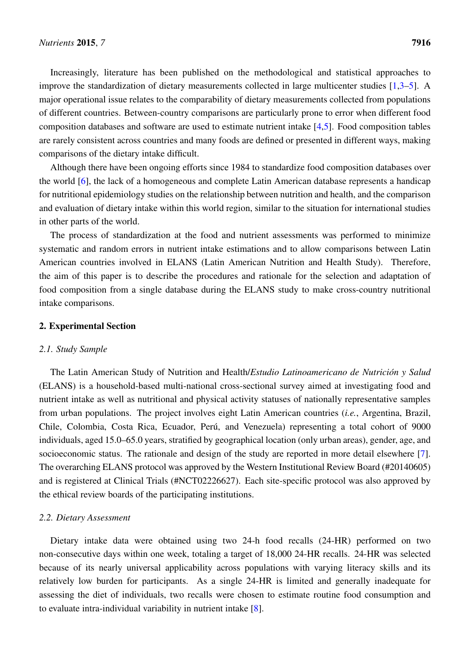Increasingly, literature has been published on the methodological and statistical approaches to improve the standardization of dietary measurements collected in large multicenter studies [\[1](#page-8-0)[,3](#page-9-0)[–5\]](#page-9-1). A major operational issue relates to the comparability of dietary measurements collected from populations of different countries. Between-country comparisons are particularly prone to error when different food composition databases and software are used to estimate nutrient intake [\[4](#page-9-2)[,5\]](#page-9-1). Food composition tables are rarely consistent across countries and many foods are defined or presented in different ways, making comparisons of the dietary intake difficult.

Although there have been ongoing efforts since 1984 to standardize food composition databases over the world [\[6\]](#page-9-3), the lack of a homogeneous and complete Latin American database represents a handicap for nutritional epidemiology studies on the relationship between nutrition and health, and the comparison and evaluation of dietary intake within this world region, similar to the situation for international studies in other parts of the world.

The process of standardization at the food and nutrient assessments was performed to minimize systematic and random errors in nutrient intake estimations and to allow comparisons between Latin American countries involved in ELANS (Latin American Nutrition and Health Study). Therefore, the aim of this paper is to describe the procedures and rationale for the selection and adaptation of food composition from a single database during the ELANS study to make cross-country nutritional intake comparisons.

#### 2. Experimental Section

#### *2.1. Study Sample*

The Latin American Study of Nutrition and Health/*Estudio Latinoamericano de Nutrición y Salud* (ELANS) is a household-based multi-national cross-sectional survey aimed at investigating food and nutrient intake as well as nutritional and physical activity statuses of nationally representative samples from urban populations. The project involves eight Latin American countries (*i.e.*, Argentina, Brazil, Chile, Colombia, Costa Rica, Ecuador, Perú, and Venezuela) representing a total cohort of 9000 individuals, aged 15.0–65.0 years, stratified by geographical location (only urban areas), gender, age, and socioeconomic status. The rationale and design of the study are reported in more detail elsewhere [\[7\]](#page-9-4). The overarching ELANS protocol was approved by the Western Institutional Review Board (#20140605) and is registered at Clinical Trials (#NCT02226627). Each site-specific protocol was also approved by the ethical review boards of the participating institutions.

#### *2.2. Dietary Assessment*

Dietary intake data were obtained using two 24-h food recalls (24-HR) performed on two non-consecutive days within one week, totaling a target of 18,000 24-HR recalls. 24-HR was selected because of its nearly universal applicability across populations with varying literacy skills and its relatively low burden for participants. As a single 24-HR is limited and generally inadequate for assessing the diet of individuals, two recalls were chosen to estimate routine food consumption and to evaluate intra-individual variability in nutrient intake [\[8\]](#page-9-5).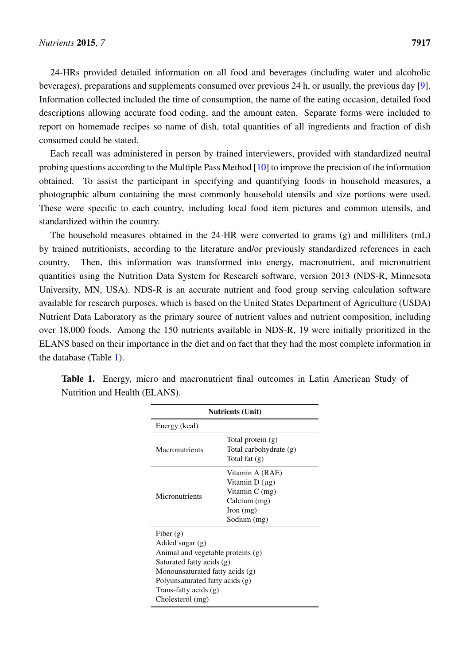24-HRs provided detailed information on all food and beverages (including water and alcoholic beverages), preparations and supplements consumed over previous 24 h, or usually, the previous day [\[9\]](#page-9-6). Information collected included the time of consumption, the name of the eating occasion, detailed food descriptions allowing accurate food coding, and the amount eaten. Separate forms were included to report on homemade recipes so name of dish, total quantities of all ingredients and fraction of dish consumed could be stated.

Each recall was administered in person by trained interviewers, provided with standardized neutral probing questions according to the Multiple Pass Method [\[10\]](#page-9-7) to improve the precision of the information obtained. To assist the participant in specifying and quantifying foods in household measures, a photographic album containing the most commonly household utensils and size portions were used. These were specific to each country, including local food item pictures and common utensils, and standardized within the country.

The household measures obtained in the 24-HR were converted to grams (g) and milliliters (mL) by trained nutritionists, according to the literature and/or previously standardized references in each country. Then, this information was transformed into energy, macronutrient, and micronutrient quantities using the Nutrition Data System for Research software, version 2013 (NDS-R, Minnesota University, MN, USA). NDS-R is an accurate nutrient and food group serving calculation software available for research purposes, which is based on the United States Department of Agriculture (USDA) Nutrient Data Laboratory as the primary source of nutrient values and nutrient composition, including over 18,000 foods. Among the 150 nutrients available in NDS-R, 19 were initially prioritized in the ELANS based on their importance in the diet and on fact that they had the most complete information in the database (Table [1\)](#page-3-0).

| <b>Nutrients (Unit)</b>                                                                                                                                                                                                 |                                                                                                                   |  |
|-------------------------------------------------------------------------------------------------------------------------------------------------------------------------------------------------------------------------|-------------------------------------------------------------------------------------------------------------------|--|
| Energy (kcal)                                                                                                                                                                                                           |                                                                                                                   |  |
| Macronutrients                                                                                                                                                                                                          | Total protein (g)<br>Total carbohydrate (g)<br>Total fat (g)                                                      |  |
| Micronutrients                                                                                                                                                                                                          | Vitamin A (RAE)<br>Vitamin D $(\mu$ g)<br>Vitamin $C$ (mg)<br>Calcium (mg)<br>$\Gamma$ Iron $(mg)$<br>Sodium (mg) |  |
| Fiber $(g)$<br>Added sugar $(g)$<br>Animal and vegetable proteins $(g)$<br>Saturated fatty acids (g)<br>Monounsaturated fatty acids (g)<br>Polyunsaturated fatty acids (g)<br>Trans-fatty acids (g)<br>Cholesterol (mg) |                                                                                                                   |  |

<span id="page-3-0"></span>

|                               |  | <b>Table 1.</b> Energy, micro and macronutrient final outcomes in Latin American Study of |  |  |  |  |
|-------------------------------|--|-------------------------------------------------------------------------------------------|--|--|--|--|
| Nutrition and Health (ELANS). |  |                                                                                           |  |  |  |  |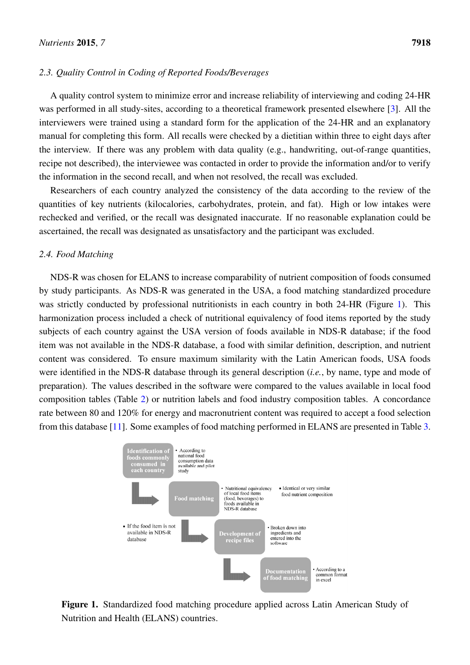# *2.3. Quality Control in Coding of Reported Foods/Beverages 2.3. Quality Control in Coding of Reported Foods/Beverages*

A quality control system to minimize error and increase reliability of interviewing and coding 24-HR A quality control system to minimize error and increase reliability of interviewing and coding 24-HR was performed in all study-sites, according to a theoretical framework presented elsewhere [\[3\]](#page-9-0). All the interviewers were trained using a standard form for the application of the 24-HR and an explanatory interviewers were trained using a standard form for the application of the 24-HR and an explanatory manual for completing this form. All recalls were checked by a dietitian within three to eight days after manual for completing this form. All recalls were checked by a dietitian within three to eight days after the interview. If there was any problem with data quality (e.g., handwriting, out-of-range quantities, the interview. If there was any problem with data quality (e.g., handwriting, out-of-range quantities, recipe not described), the interviewee was contacted in order to provide the information and/or to verify recipe not described), the interviewee was contacted in order to provide the information and/or to verify the information in the second recall, and when not resolved, the recall was excluded. the information in the second recall, and when not resolved, the recall was excluded.

Researchers of each country analyzed the consistency of the data according to the review of the Researchers of each country analyzed the consistency of the data according to the review of the quantities of key nutrients (kilocalories, carbohydrates, protein, and fat). High or low intakes were quantities of key nutrients (kilocalories, carbohydrates, protein, and fat). High or low intakes were rechecked and verified, or the recall was designated inaccurate. If no reasonable explanation could be rechecked and verified, or the recall was designated inaccurate. If no reasonable explanation could be ascertained, the recall was designated as unsatisfactory and the participant was excluded. ascertained, the recall was designated as unsatisfactory and the participant was excluded.

# *2.4. Food Matching 2.4. Food Matching*

NDS-R was chosen for ELANS to increase comparability of nutrient composition of foods consumed NDS-R was chosen for ELANS to increase comparability of nutrient composition of foods consumed by study participants. As NDS-R was generated in the USA, a food matching standardized procedure by study participants. As NDS-R was generated in the USA, a food matching standardized procedure was strictly conducted by professional nutritionists in each country in both 24-HR (Figure 1). This was strictly conducted by professional nutritionists in each country in both 24-HR (Figure [1](#page-4-0)). This harmonization process included a check of nutritional equivalency of food items reported by the study harmonization process included a check of nutritional equivalency of food items reported by the study subjects of each country against the USA version of foods available in NDS-R database; if the food item was not available in the NDS-R database, a food with similar definition, description, and nutrient content was considered. To ensure maximum similarity with the Latin American foods, USA foods were identified in the NDS-R database through its general description (*i.e.*, by name, type and mode of preparation). The values described in the software were compared to the values available in local food preparation). The values described in the software were compared to the values available in local food composition tables (Table [2\)](#page-5-0) or nutrition labels and food industry composition tables. A concordance rate between 80 and 120% for energy and macronutrient content was required to accept a food selection from this database [\[11\]](#page-9-8). Some examples of food matching performed in ELANS are presented in Table [3.](#page-6-0)

<span id="page-4-0"></span>

**Figure 1.** Standardized food matching procedure applied across Latin American Study of Nutrition and Health (ELANS) countries. Nutrition and Health (ELANS) countries.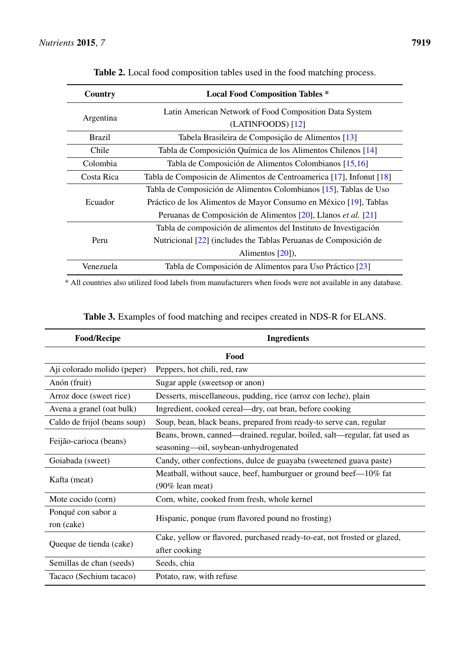<span id="page-5-0"></span>

| Country       | <b>Local Food Composition Tables *</b>                               |
|---------------|----------------------------------------------------------------------|
|               | Latin American Network of Food Composition Data System               |
| Argentina     | (LATINFOODS) [12]                                                    |
| <b>Brazil</b> | Tabela Brasileira de Composição de Alimentos [13]                    |
| Chile         | Tabla de Composición Química de los Alimentos Chilenos [14]          |
| Colombia      | Tabla de Composición de Alimentos Colombianos [15,16]                |
| Costa Rica    | Tabla de Composicin de Alimentos de Centroamerica [17], Infonut [18] |
|               | Tabla de Composición de Alimentos Colombianos [15], Tablas de Uso    |
| Ecuador       | Práctico de los Alimentos de Mayor Consumo en México [19], Tablas    |
|               | Peruanas de Composición de Alimentos [20], Llanos et al. [21]        |
|               | Tabla de composición de alimentos del Instituto de Investigación     |
| Peru          | Nutricional [22] (includes the Tablas Peruanas de Composición de     |
|               | Alimentos $[20]$ ,                                                   |
| Venezuela     | Tabla de Composición de Alimentos para Uso Práctico [23]             |

Table 2. Local food composition tables used in the food matching process.

\* All countries also utilized food labels from manufacturers when foods were not available in any database.

| <b>Food/Recipe</b>           | <b>Ingredients</b>                                                       |  |  |  |
|------------------------------|--------------------------------------------------------------------------|--|--|--|
| Food                         |                                                                          |  |  |  |
| Aji colorado molido (peper)  | Peppers, hot chili, red, raw                                             |  |  |  |
| Anón (fruit)                 | Sugar apple (sweetsop or anon)                                           |  |  |  |
| Arroz doce (sweet rice)      | Desserts, miscellaneous, pudding, rice (arroz con leche), plain          |  |  |  |
| Avena a granel (oat bulk)    | Ingredient, cooked cereal—dry, oat bran, before cooking                  |  |  |  |
| Caldo de frijol (beans soup) | Soup, bean, black beans, prepared from ready-to serve can, regular       |  |  |  |
| Feijão-carioca (beans)       | Beans, brown, canned—drained, regular, boiled, salt—regular, fat used as |  |  |  |
|                              | seasoning—oil, soybean-unhydrogenated                                    |  |  |  |
| Goiabada (sweet)             | Candy, other confections, dulce de guayaba (sweetened guava paste)       |  |  |  |
| Kafta (meat)                 | Meatball, without sauce, beef, hamburguer or ground beef—10% fat         |  |  |  |
|                              | (90% lean meat)                                                          |  |  |  |
| Mote cocido (corn)           | Corn, white, cooked from fresh, whole kernel                             |  |  |  |
| Ponqué con sabor a           | Hispanic, ponque (rum flavored pound no frosting)                        |  |  |  |
| ron (cake)                   |                                                                          |  |  |  |
| Queque de tienda (cake)      | Cake, yellow or flavored, purchased ready-to-eat, not frosted or glazed, |  |  |  |
|                              | after cooking                                                            |  |  |  |
| Semillas de chan (seeds)     | Seeds, chia                                                              |  |  |  |
| Tacaco (Sechium tacaco)      | Potato, raw, with refuse                                                 |  |  |  |

Table 3. Examples of food matching and recipes created in NDS-R for ELANS.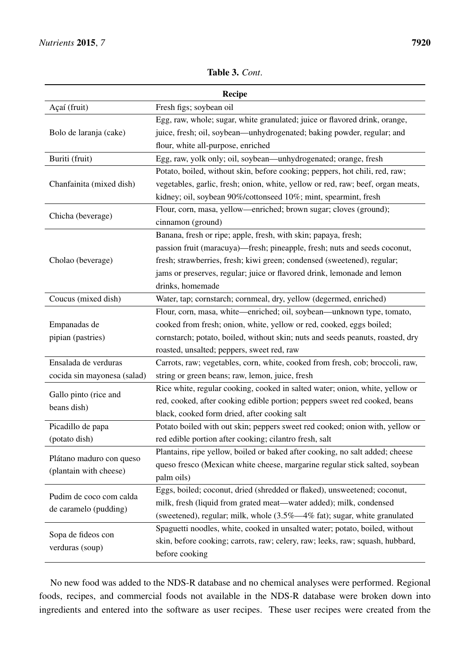<span id="page-6-0"></span>

| Recipe                                           |                                                                                 |  |  |  |
|--------------------------------------------------|---------------------------------------------------------------------------------|--|--|--|
| Açaí (fruit)                                     | Fresh figs; soybean oil                                                         |  |  |  |
|                                                  | Egg, raw, whole; sugar, white granulated; juice or flavored drink, orange,      |  |  |  |
| Bolo de laranja (cake)                           | juice, fresh; oil, soybean—unhydrogenated; baking powder, regular; and          |  |  |  |
|                                                  | flour, white all-purpose, enriched                                              |  |  |  |
| Buriti (fruit)                                   | Egg, raw, yolk only; oil, soybean—unhydrogenated; orange, fresh                 |  |  |  |
|                                                  | Potato, boiled, without skin, before cooking; peppers, hot chili, red, raw;     |  |  |  |
| Chanfainita (mixed dish)                         | vegetables, garlic, fresh; onion, white, yellow or red, raw; beef, organ meats, |  |  |  |
|                                                  | kidney; oil, soybean 90%/cottonseed 10%; mint, spearmint, fresh                 |  |  |  |
|                                                  | Flour, corn, masa, yellow—enriched; brown sugar; cloves (ground);               |  |  |  |
| Chicha (beverage)                                | cinnamon (ground)                                                               |  |  |  |
|                                                  | Banana, fresh or ripe; apple, fresh, with skin; papaya, fresh;                  |  |  |  |
|                                                  | passion fruit (maracuya)—fresh; pineapple, fresh; nuts and seeds coconut,       |  |  |  |
| Cholao (beverage)                                | fresh; strawberries, fresh; kiwi green; condensed (sweetened), regular;         |  |  |  |
|                                                  | jams or preserves, regular; juice or flavored drink, lemonade and lemon         |  |  |  |
|                                                  | drinks, homemade                                                                |  |  |  |
| Coucus (mixed dish)                              | Water, tap; cornstarch; cornmeal, dry, yellow (degermed, enriched)              |  |  |  |
|                                                  | Flour, corn, masa, white—enriched; oil, soybean—unknown type, tomato,           |  |  |  |
| Empanadas de                                     | cooked from fresh; onion, white, yellow or red, cooked, eggs boiled;            |  |  |  |
| pipian (pastries)                                | cornstarch; potato, boiled, without skin; nuts and seeds peanuts, roasted, dry  |  |  |  |
|                                                  | roasted, unsalted; peppers, sweet red, raw                                      |  |  |  |
| Ensalada de verduras                             | Carrots, raw; vegetables, corn, white, cooked from fresh, cob; broccoli, raw,   |  |  |  |
| cocida sin mayonesa (salad)                      | string or green beans; raw, lemon, juice, fresh                                 |  |  |  |
|                                                  | Rice white, regular cooking, cooked in salted water; onion, white, yellow or    |  |  |  |
| Gallo pinto (rice and<br>beans dish)             | red, cooked, after cooking edible portion; peppers sweet red cooked, beans      |  |  |  |
|                                                  | black, cooked form dried, after cooking salt                                    |  |  |  |
| Picadillo de papa                                | Potato boiled with out skin; peppers sweet red cooked; onion with, yellow or    |  |  |  |
| (potato dish)                                    | red edible portion after cooking; cilantro fresh, salt                          |  |  |  |
| Plátano maduro con queso                         | Plantains, ripe yellow, boiled or baked after cooking, no salt added; cheese    |  |  |  |
|                                                  | queso fresco (Mexican white cheese, margarine regular stick salted, soybean     |  |  |  |
| (plantain with cheese)                           | palm oils)                                                                      |  |  |  |
| Pudim de coco com calda<br>de caramelo (pudding) | Eggs, boiled; coconut, dried (shredded or flaked), unsweetened; coconut,        |  |  |  |
|                                                  | milk, fresh (liquid from grated meat—water added); milk, condensed              |  |  |  |
|                                                  | (sweetened), regular; milk, whole (3.5%—4% fat); sugar, white granulated        |  |  |  |
| Sopa de fideos con                               | Spaguetti noodles, white, cooked in unsalted water; potato, boiled, without     |  |  |  |
| verduras (soup)                                  | skin, before cooking; carrots, raw; celery, raw; leeks, raw; squash, hubbard,   |  |  |  |
|                                                  | before cooking                                                                  |  |  |  |

Table 3. *Cont*.

No new food was added to the NDS-R database and no chemical analyses were performed. Regional foods, recipes, and commercial foods not available in the NDS-R database were broken down into ingredients and entered into the software as user recipes. These user recipes were created from the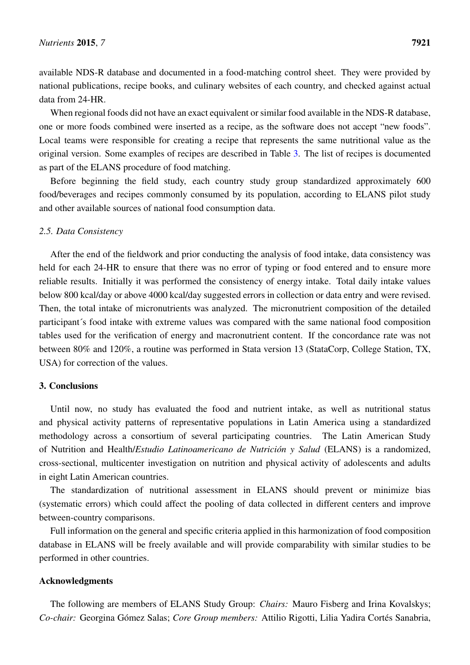available NDS-R database and documented in a food-matching control sheet. They were provided by national publications, recipe books, and culinary websites of each country, and checked against actual data from 24-HR.

When regional foods did not have an exact equivalent or similar food available in the NDS-R database, one or more foods combined were inserted as a recipe, as the software does not accept "new foods". Local teams were responsible for creating a recipe that represents the same nutritional value as the original version. Some examples of recipes are described in Table [3.](#page-6-0) The list of recipes is documented as part of the ELANS procedure of food matching.

Before beginning the field study, each country study group standardized approximately 600 food/beverages and recipes commonly consumed by its population, according to ELANS pilot study and other available sources of national food consumption data.

#### *2.5. Data Consistency*

After the end of the fieldwork and prior conducting the analysis of food intake, data consistency was held for each 24-HR to ensure that there was no error of typing or food entered and to ensure more reliable results. Initially it was performed the consistency of energy intake. Total daily intake values below 800 kcal/day or above 4000 kcal/day suggested errors in collection or data entry and were revised. Then, the total intake of micronutrients was analyzed. The micronutrient composition of the detailed participant´s food intake with extreme values was compared with the same national food composition tables used for the verification of energy and macronutrient content. If the concordance rate was not between 80% and 120%, a routine was performed in Stata version 13 (StataCorp, College Station, TX, USA) for correction of the values.

#### 3. Conclusions

Until now, no study has evaluated the food and nutrient intake, as well as nutritional status and physical activity patterns of representative populations in Latin America using a standardized methodology across a consortium of several participating countries. The Latin American Study of Nutrition and Health/*Estudio Latinoamericano de Nutrición y Salud* (ELANS) is a randomized, cross-sectional, multicenter investigation on nutrition and physical activity of adolescents and adults in eight Latin American countries.

The standardization of nutritional assessment in ELANS should prevent or minimize bias (systematic errors) which could affect the pooling of data collected in different centers and improve between-country comparisons.

Full information on the general and specific criteria applied in this harmonization of food composition database in ELANS will be freely available and will provide comparability with similar studies to be performed in other countries.

#### Acknowledgments

The following are members of ELANS Study Group: *Chairs:* Mauro Fisberg and Irina Kovalskys; *Co-chair:* Georgina Gómez Salas; *Core Group members:* Attilio Rigotti, Lilia Yadira Cortés Sanabria,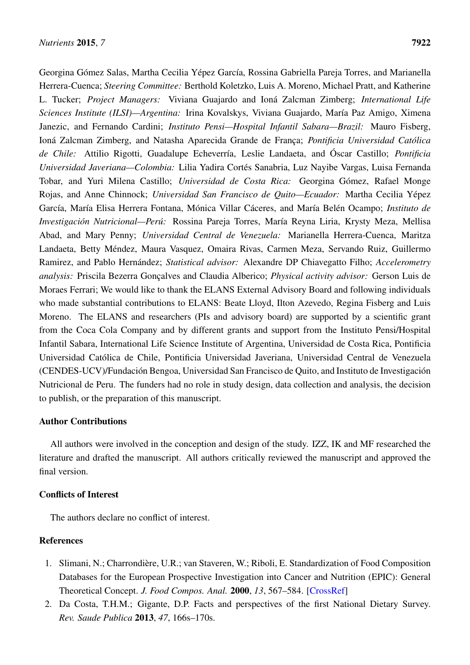Georgina Gómez Salas, Martha Cecilia Yépez García, Rossina Gabriella Pareja Torres, and Marianella Herrera-Cuenca; *Steering Committee:* Berthold Koletzko, Luis A. Moreno, Michael Pratt, and Katherine L. Tucker; *Project Managers:* Viviana Guajardo and Ioná Zalcman Zimberg; *International Life Sciences Institute (ILSI)—Argentina:* Irina Kovalskys, Viviana Guajardo, María Paz Amigo, Ximena Janezic, and Fernando Cardini; *Instituto Pensi—Hospital Infantil Sabara—Brazil:* Mauro Fisberg, Ioná Zalcman Zimberg, and Natasha Aparecida Grande de França; *Pontificia Universidad Católica de Chile:* Attilio Rigotti, Guadalupe Echeverría, Leslie Landaeta, and Óscar Castillo; *Pontificia Universidad Javeriana—Colombia:* Lilia Yadira Cortés Sanabria, Luz Nayibe Vargas, Luisa Fernanda Tobar, and Yuri Milena Castillo; *Universidad de Costa Rica:* Georgina Gómez, Rafael Monge Rojas, and Anne Chinnock; *Universidad San Francisco de Quito—Ecuador:* Martha Cecilia Yépez García, María Elisa Herrera Fontana, Mónica Villar Cáceres, and María Belén Ocampo; *Instituto de Investigación Nutricional—Perú:* Rossina Pareja Torres, María Reyna Liria, Krysty Meza, Mellisa Abad, and Mary Penny; *Universidad Central de Venezuela:* Marianella Herrera-Cuenca, Maritza Landaeta, Betty Méndez, Maura Vasquez, Omaira Rivas, Carmen Meza, Servando Ruiz, Guillermo Ramirez, and Pablo Hernández; *Statistical advisor:* Alexandre DP Chiavegatto Filho; *Accelerometry analysis:* Priscila Bezerra Gonçalves and Claudia Alberico; *Physical activity advisor:* Gerson Luis de Moraes Ferrari; We would like to thank the ELANS External Advisory Board and following individuals who made substantial contributions to ELANS: Beate Lloyd, Ilton Azevedo, Regina Fisberg and Luis Moreno. The ELANS and researchers (PIs and advisory board) are supported by a scientific grant from the Coca Cola Company and by different grants and support from the Instituto Pensi/Hospital Infantil Sabara, International Life Science Institute of Argentina, Universidad de Costa Rica, Pontificia Universidad Católica de Chile, Pontificia Universidad Javeriana, Universidad Central de Venezuela (CENDES-UCV)/Fundación Bengoa, Universidad San Francisco de Quito, and Instituto de Investigación Nutricional de Peru. The funders had no role in study design, data collection and analysis, the decision to publish, or the preparation of this manuscript.

### Author Contributions

All authors were involved in the conception and design of the study. IZZ, IK and MF researched the literature and drafted the manuscript. All authors critically reviewed the manuscript and approved the final version.

# Conflicts of Interest

The authors declare no conflict of interest.

# References

- <span id="page-8-0"></span>1. Slimani, N.; Charrondière, U.R.; van Staveren, W.; Riboli, E. Standardization of Food Composition Databases for the European Prospective Investigation into Cancer and Nutrition (EPIC): General Theoretical Concept. *J. Food Compos. Anal.* 2000, *13*, 567–584. [\[CrossRef\]](http://dx.doi.org/10.1006/jfca.2000.0910)
- <span id="page-8-1"></span>2. Da Costa, T.H.M.; Gigante, D.P. Facts and perspectives of the first National Dietary Survey. *Rev. Saude Publica* 2013, *47*, 166s–170s.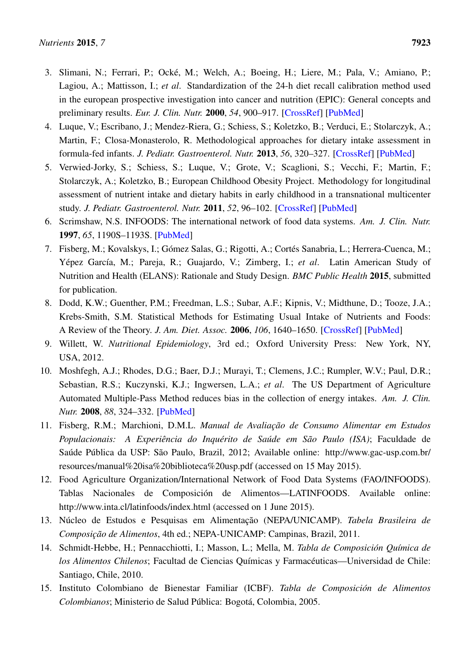- <span id="page-9-0"></span>3. Slimani, N.; Ferrari, P.; Ocké, M.; Welch, A.; Boeing, H.; Liere, M.; Pala, V.; Amiano, P.; Lagiou, A.; Mattisson, I.; *et al*. Standardization of the 24-h diet recall calibration method used in the european prospective investigation into cancer and nutrition (EPIC): General concepts and preliminary results. *Eur. J. Clin. Nutr.* 2000, *54*, 900–917. [\[CrossRef\]](http://dx.doi.org/10.1038/sj.ejcn.1601107) [\[PubMed\]](http://www.ncbi.nlm.nih.gov/pubmed/11114689)
- <span id="page-9-2"></span>4. Luque, V.; Escribano, J.; Mendez-Riera, G.; Schiess, S.; Koletzko, B.; Verduci, E.; Stolarczyk, A.; Martin, F.; Closa-Monasterolo, R. Methodological approaches for dietary intake assessment in formula-fed infants. *J. Pediatr. Gastroenterol. Nutr.* 2013, *56*, 320–327. [\[CrossRef\]](http://dx.doi.org/10.1097/MPG.0b013e3182779a60) [\[PubMed\]](http://www.ncbi.nlm.nih.gov/pubmed/23443063)
- <span id="page-9-1"></span>5. Verwied-Jorky, S.; Schiess, S.; Luque, V.; Grote, V.; Scaglioni, S.; Vecchi, F.; Martin, F.; Stolarczyk, A.; Koletzko, B.; European Childhood Obesity Project. Methodology for longitudinal assessment of nutrient intake and dietary habits in early childhood in a transnational multicenter study. *J. Pediatr. Gastroenterol. Nutr.* 2011, *52*, 96–102. [\[CrossRef\]](http://dx.doi.org/10.1097/MPG.0b013e3181f28d33) [\[PubMed\]](http://www.ncbi.nlm.nih.gov/pubmed/21150649)
- <span id="page-9-3"></span>6. Scrimshaw, N.S. INFOODS: The international network of food data systems. *Am. J. Clin. Nutr.* 1997, *65*, 1190S–1193S. [\[PubMed\]](http://www.ncbi.nlm.nih.gov/pubmed/9094920)
- <span id="page-9-4"></span>7. Fisberg, M.; Kovalskys, I.; Gómez Salas, G.; Rigotti, A.; Cortés Sanabria, L.; Herrera-Cuenca, M.; Yépez García, M.; Pareja, R.; Guajardo, V.; Zimberg, I.; *et al*. Latin American Study of Nutrition and Health (ELANS): Rationale and Study Design. *BMC Public Health* 2015, submitted for publication.
- <span id="page-9-5"></span>8. Dodd, K.W.; Guenther, P.M.; Freedman, L.S.; Subar, A.F.; Kipnis, V.; Midthune, D.; Tooze, J.A.; Krebs-Smith, S.M. Statistical Methods for Estimating Usual Intake of Nutrients and Foods: A Review of the Theory. *J. Am. Diet. Assoc.* 2006, *106*, 1640–1650. [\[CrossRef\]](http://dx.doi.org/10.1016/j.jada.2006.07.011) [\[PubMed\]](http://www.ncbi.nlm.nih.gov/pubmed/17000197)
- <span id="page-9-6"></span>9. Willett, W. *Nutritional Epidemiology*, 3rd ed.; Oxford University Press: New York, NY, USA, 2012.
- <span id="page-9-7"></span>10. Moshfegh, A.J.; Rhodes, D.G.; Baer, D.J.; Murayi, T.; Clemens, J.C.; Rumpler, W.V.; Paul, D.R.; Sebastian, R.S.; Kuczynski, K.J.; Ingwersen, L.A.; *et al*. The US Department of Agriculture Automated Multiple-Pass Method reduces bias in the collection of energy intakes. *Am. J. Clin. Nutr.* 2008, *88*, 324–332. [\[PubMed\]](http://www.ncbi.nlm.nih.gov/pubmed/18689367)
- <span id="page-9-8"></span>11. Fisberg, R.M.; Marchioni, D.M.L. *Manual de Avaliação de Consumo Alimentar em Estudos Populacionais: A Experiência do Inquérito de Saúde em São Paulo (ISA)*; Faculdade de Saúde Pública da USP: São Paulo, Brazil, 2012; Available online: http://www.gac-usp.com.br/ resources/manual%20isa%20biblioteca%20usp.pdf (accessed on 15 May 2015).
- <span id="page-9-9"></span>12. Food Agriculture Organization/International Network of Food Data Systems (FAO/INFOODS). Tablas Nacionales de Composición de Alimentos—LATINFOODS. Available online: http://www.inta.cl/latinfoods/index.html (accessed on 1 June 2015).
- <span id="page-9-10"></span>13. Núcleo de Estudos e Pesquisas em Alimentação (NEPA/UNICAMP). *Tabela Brasileira de Composição de Alimentos*, 4th ed.; NEPA-UNICAMP: Campinas, Brazil, 2011.
- <span id="page-9-11"></span>14. Schmidt-Hebbe, H.; Pennacchiotti, I.; Masson, L.; Mella, M. *Tabla de Composición Química de los Alimentos Chilenos*; Facultad de Ciencias Químicas y Farmacéuticas—Universidad de Chile: Santiago, Chile, 2010.
- <span id="page-9-12"></span>15. Instituto Colombiano de Bienestar Familiar (ICBF). *Tabla de Composición de Alimentos Colombianos*; Ministerio de Salud Pública: Bogotá, Colombia, 2005.